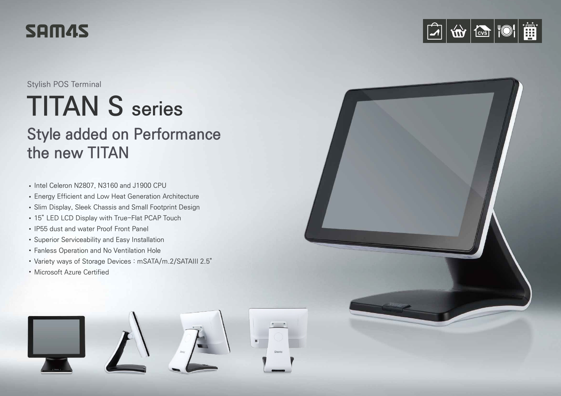# SAM45

Stylish POS Terminal

# **TITAN S series**

## **Style added on Performance the new TITAN**

- Intel Celeron N2807, N3160 and J1900 CPU
- Energy Efficient and Low Heat Generation Architecture
- Slim Display, Sleek Chassis and Small Footprint Design
- 15" LED LCD Display with True-Flat PCAP Touch
- IP55 dust and water Proof Front Panel
- Superior Serviceability and Easy Installation
- Fanless Operation and No Ventilation Hole
- Variety ways of Storage Devices : mSATA/m.2/SATAIII 2.5"
- Microsoft Azure Certified